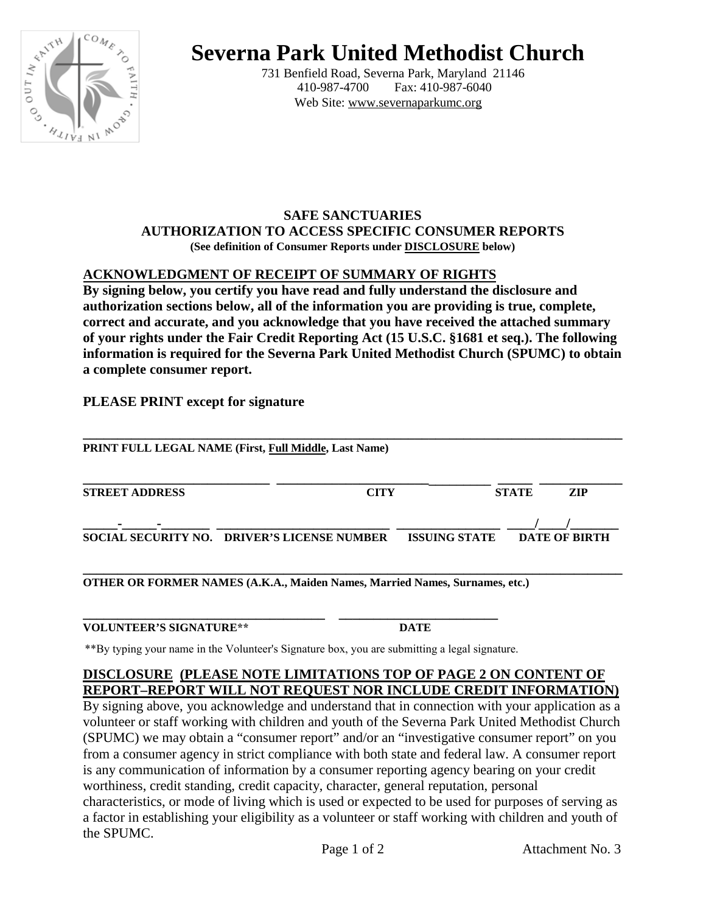

# **Severna Park United Methodist Church**

 731 Benfield Road, Severna Park, Maryland 21146 Fax: 410-987-6040 Web Site: www.severnaparkumc.org

#### **SAFE SANCTUARIES AUTHORIZATION TO ACCESS SPECIFIC CONSUMER REPORTS (See definition of Consumer Reports under DISCLOSURE below)**

# **ACKNOWLEDGMENT OF RECEIPT OF SUMMARY OF RIGHTS**

**By signing below, you certify you have read and fully understand the disclosure and authorization sections below, all of the information you are providing is true, complete, correct and accurate, and you acknowledge that you have received the attached summary of your rights under the Fair Credit Reporting Act (15 U.S.C. §1681 et seq.). The following information is required for the Severna Park United Methodist Church (SPUMC) to obtain a complete consumer report.**

### **PLEASE PRINT except for signature**

| PRINT FULL LEGAL NAME (First, Full Middle, Last Name) |                                             |                      |              |                      |  |
|-------------------------------------------------------|---------------------------------------------|----------------------|--------------|----------------------|--|
| <b>STREET ADDRESS</b>                                 | <b>CITY</b>                                 |                      | <b>STATE</b> | <b>ZIP</b>           |  |
|                                                       | SOCIAL SECURITY NO. DRIVER'S LICENSE NUMBER | <b>ISSUING STATE</b> |              | <b>DATE OF BIRTH</b> |  |

**\_\_\_\_\_\_\_\_\_\_\_\_\_\_\_\_\_\_\_\_\_\_\_\_\_\_\_\_\_\_\_\_\_\_\_\_\_\_\_\_\_\_\_\_\_\_\_\_\_\_\_\_\_\_\_\_\_\_\_\_\_\_\_\_\_\_\_\_\_\_\_\_\_\_\_\_\_\_ OTHER OR FORMER NAMES (A.K.A., Maiden Names, Married Names, Surnames, etc.)**

| <b>VOLUNTEER'S SIGNATURE**</b> |  |
|--------------------------------|--|

\*\*By typing your name in the Volunteer's Signature box, you are submitting a legal signature.

#### **DISCLOSURE (PLEASE NOTE LIMITATIONS TOP OF PAGE 2 ON CONTENT OF REPORT–REPORT WILL NOT REQUEST NOR INCLUDE CREDIT INFORMATION)**

By signing above, you acknowledge and understand that in connection with your application as a volunteer or staff working with children and youth of the Severna Park United Methodist Church (SPUMC) we may obtain a "consumer report" and/or an "investigative consumer report" on you from a consumer agency in strict compliance with both state and federal law. A consumer report is any communication of information by a consumer reporting agency bearing on your credit worthiness, credit standing, credit capacity, character, general reputation, personal characteristics, or mode of living which is used or expected to be used for purposes of serving as a factor in establishing your eligibility as a volunteer or staff working with children and youth of the SPUMC.